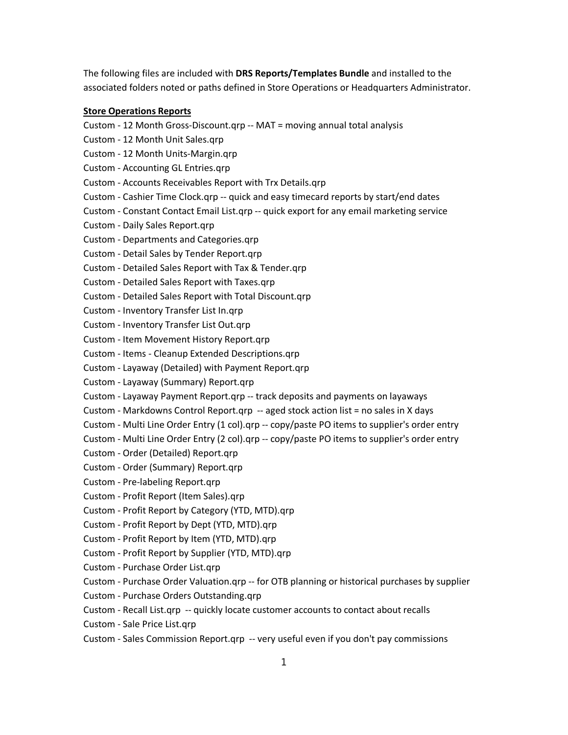The following files are included with **DRS Reports/Templates Bundle** and installed to the associated folders noted or paths defined in Store Operations or Headquarters Administrator.

### **Store Operations Reports**

Custom - 12 Month Gross-Discount.qrp -- MAT = moving annual total analysis Custom - 12 Month Unit Sales.qrp Custom - 12 Month Units-Margin.qrp Custom - Accounting GL Entries.qrp Custom - Accounts Receivables Report with Trx Details.qrp Custom - Cashier Time Clock.qrp -- quick and easy timecard reports by start/end dates Custom - Constant Contact Email List.qrp -- quick export for any email marketing service Custom - Daily Sales Report.qrp Custom - Departments and Categories.qrp Custom - Detail Sales by Tender Report.qrp Custom - Detailed Sales Report with Tax & Tender.qrp Custom - Detailed Sales Report with Taxes.qrp Custom - Detailed Sales Report with Total Discount.qrp Custom - Inventory Transfer List In.qrp Custom - Inventory Transfer List Out.qrp Custom - Item Movement History Report.qrp Custom - Items - Cleanup Extended Descriptions.qrp Custom - Layaway (Detailed) with Payment Report.qrp Custom - Layaway (Summary) Report.qrp Custom - Layaway Payment Report.qrp -- track deposits and payments on layaways Custom - Markdowns Control Report.qrp -- aged stock action list = no sales in X days Custom - Multi Line Order Entry (1 col).qrp -- copy/paste PO items to supplier's order entry Custom - Multi Line Order Entry (2 col).qrp -- copy/paste PO items to supplier's order entry Custom - Order (Detailed) Report.qrp Custom - Order (Summary) Report.qrp Custom - Pre-labeling Report.qrp Custom - Profit Report (Item Sales).qrp Custom - Profit Report by Category (YTD, MTD).qrp Custom - Profit Report by Dept (YTD, MTD).qrp Custom - Profit Report by Item (YTD, MTD).qrp Custom - Profit Report by Supplier (YTD, MTD).qrp Custom - Purchase Order List.qrp Custom - Purchase Order Valuation.qrp -- for OTB planning or historical purchases by supplier Custom - Purchase Orders Outstanding.qrp Custom - Recall List.qrp -- quickly locate customer accounts to contact about recalls Custom - Sale Price List.qrp Custom - Sales Commission Report.qrp -- very useful even if you don't pay commissions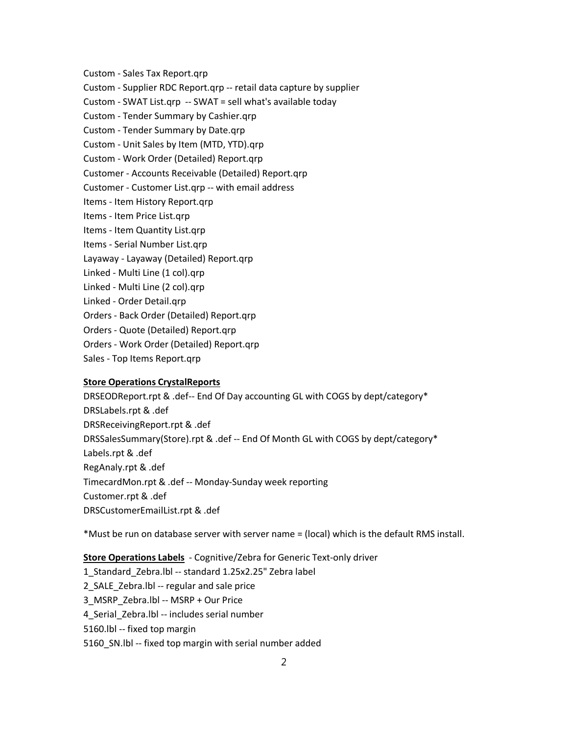Custom - Sales Tax Report.qrp

Custom - Supplier RDC Report.qrp -- retail data capture by supplier

Custom - SWAT List.qrp -- SWAT = sell what's available today

Custom - Tender Summary by Cashier.qrp

Custom - Tender Summary by Date.qrp

Custom - Unit Sales by Item (MTD, YTD).qrp

Custom - Work Order (Detailed) Report.qrp

Customer - Accounts Receivable (Detailed) Report.qrp

Customer - Customer List.qrp -- with email address

Items - Item History Report.qrp

Items - Item Price List.qrp

Items - Item Quantity List.qrp

Items - Serial Number List.qrp

Layaway - Layaway (Detailed) Report.qrp

Linked - Multi Line (1 col).qrp

Linked - Multi Line (2 col).qrp

Linked - Order Detail.qrp

Orders - Back Order (Detailed) Report.qrp

Orders - Quote (Detailed) Report.qrp

Orders - Work Order (Detailed) Report.qrp

Sales - Top Items Report.qrp

## **Store Operations CrystalReports**

DRSEODReport.rpt & .def-- End Of Day accounting GL with COGS by dept/category\* DRSLabels.rpt & .def DRSReceivingReport.rpt & .def DRSSalesSummary(Store).rpt & .def -- End Of Month GL with COGS by dept/category\* Labels.rpt & .def RegAnaly.rpt & .def TimecardMon.rpt & .def -- Monday-Sunday week reporting Customer.rpt & .def DRSCustomerEmailList.rpt & .def

\*Must be run on database server with server name = (local) which is the default RMS install.

**Store Operations Labels** - Cognitive/Zebra for Generic Text-only driver

1\_Standard\_Zebra.lbl -- standard 1.25x2.25" Zebra label 2\_SALE\_Zebra.lbl -- regular and sale price 3\_MSRP\_Zebra.lbl -- MSRP + Our Price 4 Serial Zebra.lbl -- includes serial number 5160.lbl -- fixed top margin 5160\_SN.lbl -- fixed top margin with serial number added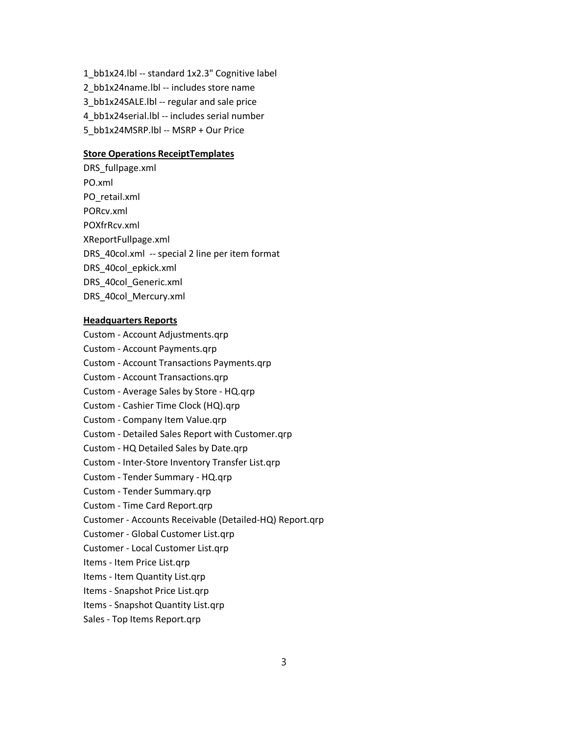1\_bb1x24.lbl -- standard 1x2.3" Cognitive label 2\_bb1x24name.lbl -- includes store name 3\_bb1x24SALE.lbl -- regular and sale price 4\_bb1x24serial.lbl -- includes serial number 5\_bb1x24MSRP.lbl -- MSRP + Our Price

#### **Store Operations ReceiptTemplates**

DRS\_fullpage.xml PO.xml PO\_retail.xml PORcv.xml POXfrRcv.xml XReportFullpage.xml DRS\_40col.xml -- special 2 line per item format DRS\_40col\_epkick.xml DRS\_40col\_Generic.xml DRS\_40col\_Mercury.xml

## **Headquarters Reports**

Custom - Account Adjustments.qrp Custom - Account Payments.qrp Custom - Account Transactions Payments.qrp Custom - Account Transactions.qrp Custom - Average Sales by Store - HQ.qrp Custom - Cashier Time Clock (HQ).qrp Custom - Company Item Value.qrp Custom - Detailed Sales Report with Customer.qrp Custom - HQ Detailed Sales by Date.qrp Custom - Inter-Store Inventory Transfer List.qrp Custom - Tender Summary - HQ.qrp Custom - Tender Summary.qrp Custom - Time Card Report.qrp Customer - Accounts Receivable (Detailed-HQ) Report.qrp Customer - Global Customer List.qrp Customer - Local Customer List.qrp Items - Item Price List.qrp Items - Item Quantity List.qrp Items - Snapshot Price List.qrp Items - Snapshot Quantity List.qrp Sales - Top Items Report.qrp